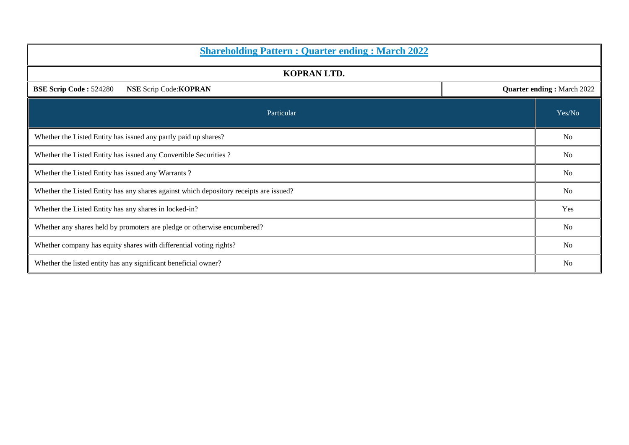| <b>Shareholding Pattern : Quarter ending : March 2022</b>                                    |  |                |  |  |  |  |  |
|----------------------------------------------------------------------------------------------|--|----------------|--|--|--|--|--|
| <b>KOPRAN LTD.</b>                                                                           |  |                |  |  |  |  |  |
| <b>Quarter ending: March 2022</b><br><b>BSE Scrip Code: 524280</b><br>NSE Scrip Code: KOPRAN |  |                |  |  |  |  |  |
| Particular                                                                                   |  | Yes/No         |  |  |  |  |  |
| Whether the Listed Entity has issued any partly paid up shares?                              |  |                |  |  |  |  |  |
| Whether the Listed Entity has issued any Convertible Securities ?                            |  |                |  |  |  |  |  |
| Whether the Listed Entity has issued any Warrants?                                           |  |                |  |  |  |  |  |
| Whether the Listed Entity has any shares against which depository receipts are issued?       |  |                |  |  |  |  |  |
| Whether the Listed Entity has any shares in locked-in?                                       |  |                |  |  |  |  |  |
| Whether any shares held by promoters are pledge or otherwise encumbered?                     |  |                |  |  |  |  |  |
| Whether company has equity shares with differential voting rights?                           |  |                |  |  |  |  |  |
| Whether the listed entity has any significant beneficial owner?                              |  | N <sub>0</sub> |  |  |  |  |  |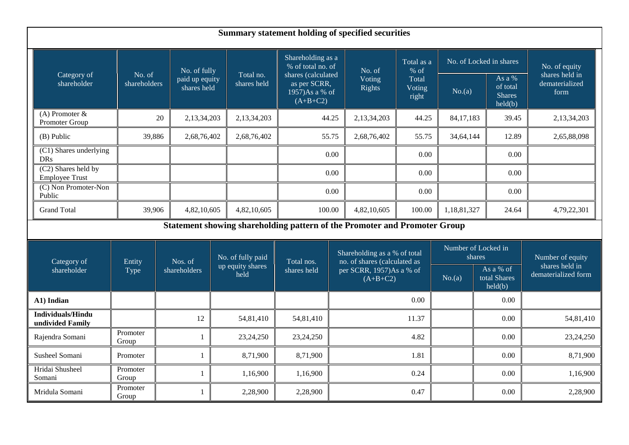| <b>Summary statement holding of specified securities</b> |                        |                               |                          |             |                                                                           |                                        |                                                              |                          |             |                                                  |                                          |
|----------------------------------------------------------|------------------------|-------------------------------|--------------------------|-------------|---------------------------------------------------------------------------|----------------------------------------|--------------------------------------------------------------|--------------------------|-------------|--------------------------------------------------|------------------------------------------|
|                                                          |                        | No. of fully                  |                          |             | Shareholding as a<br>% of total no. of                                    |                                        | No. of                                                       | Total as a<br>$%$ of     |             | No. of Locked in shares                          | No. of equity                            |
| Category of<br>shareholder                               | No. of<br>shareholders | paid up equity<br>shares held | Total no.<br>shares held |             | shares (calculated<br>as per SCRR,<br>$1957$ )As a % of<br>$(A+B+C2)$     |                                        | Voting<br><b>Rights</b>                                      | Total<br>Voting<br>right | No.(a)      | As a $%$<br>of total<br><b>Shares</b><br>held(b) | shares held in<br>dematerialized<br>form |
| $(A)$ Promoter &<br>Promoter Group                       |                        | 20<br>2,13,34,203             |                          | 2,13,34,203 | 44.25                                                                     |                                        | 2,13,34,203                                                  | 44.25                    | 84, 17, 183 | 39.45                                            | 2,13,34,203                              |
| $(B)$ Public                                             | 39,886                 | 2,68,76,402                   | 2,68,76,402              |             | 55.75                                                                     |                                        | 2,68,76,402                                                  | 55.75                    | 34,64,144   | 12.89                                            | 2,65,88,098                              |
| (C1) Shares underlying<br><b>DRs</b>                     |                        |                               |                          |             |                                                                           | 0.00                                   |                                                              | 0.00                     |             | 0.00                                             |                                          |
| (C2) Shares held by<br><b>Employee Trust</b>             |                        |                               |                          |             |                                                                           | 0.00                                   |                                                              | 0.00                     |             | 0.00                                             |                                          |
| (C) Non Promoter-Non<br>Public                           |                        |                               |                          |             |                                                                           | 0.00                                   |                                                              | 0.00                     |             | 0.00                                             |                                          |
| <b>Grand Total</b>                                       | 39,906                 | 4,82,10,605                   |                          | 4,82,10,605 | 100.00                                                                    |                                        | 4,82,10,605                                                  | 100.00                   | 1,18,81,327 | 24.64                                            | 4,79,22,301                              |
|                                                          |                        |                               |                          |             | Statement showing shareholding pattern of the Promoter and Promoter Group |                                        |                                                              |                          |             |                                                  |                                          |
| Category of                                              | Entity                 | Nos. of                       | No. of fully paid        |             | Total nos.                                                                |                                        | Shareholding as a % of total<br>no. of shares (calculated as |                          |             | Number of Locked in<br>shares                    | Number of equity                         |
| shareholder                                              | Type                   | shareholders                  | up equity shares<br>held |             | shares held                                                               | per SCRR, 1957)As a % of<br>$(A+B+C2)$ |                                                              |                          | No.(a)      | As a % of<br>total Shares<br>held(b)             | shares held in<br>dematerialized form    |
| A1) Indian                                               |                        |                               |                          |             |                                                                           |                                        |                                                              | 0.00                     |             | 0.00                                             |                                          |
| <b>Individuals/Hindu</b><br>undivided Family             |                        | 12                            |                          | 54,81,410   | 54,81,410                                                                 |                                        |                                                              | 11.37                    |             | 0.00                                             | 54,81,410                                |
| Rajendra Somani                                          | Promoter<br>Group      | 1                             | 23, 24, 250              |             | 23, 24, 250                                                               |                                        | 4.82                                                         |                          |             | 0.00                                             | 23, 24, 250                              |
| Susheel Somani                                           | Promoter               |                               |                          | 8,71,900    | 8,71,900                                                                  |                                        | 1.81                                                         |                          |             | 0.00                                             | 8,71,900                                 |
| Hridai Shusheel<br>Somani                                | Promoter<br>Group      |                               |                          | 1,16,900    | 1,16,900                                                                  |                                        |                                                              | 0.24                     |             | 0.00                                             | 1,16,900                                 |
| Mridula Somani                                           | Promoter<br>Group      |                               |                          | 2,28,900    | 2,28,900                                                                  |                                        |                                                              | 0.47                     |             | 0.00                                             | 2,28,900                                 |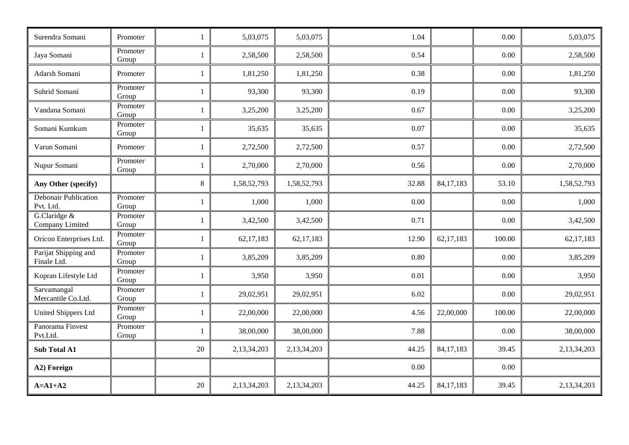| Surendra Somani                          | Promoter          | $\mathbf{1}$ | 5,03,075    | 5,03,075    | 1.04  |             | 0.00   | 5,03,075    |
|------------------------------------------|-------------------|--------------|-------------|-------------|-------|-------------|--------|-------------|
| Jaya Somani                              | Promoter<br>Group | 1            | 2,58,500    | 2,58,500    | 0.54  |             | 0.00   | 2,58,500    |
| Adarsh Somani                            | Promoter          | $\mathbf{1}$ | 1,81,250    | 1,81,250    | 0.38  |             | 0.00   | 1,81,250    |
| Suhrid Somani                            | Promoter<br>Group | $\mathbf{1}$ | 93,300      | 93,300      | 0.19  |             | 0.00   | 93,300      |
| Vandana Somani                           | Promoter<br>Group | 1            | 3,25,200    | 3,25,200    | 0.67  |             | 0.00   | 3,25,200    |
| Somani Kumkum                            | Promoter<br>Group | 1            | 35,635      | 35,635      | 0.07  |             | 0.00   | 35,635      |
| Varun Somani                             | Promoter          | -1           | 2,72,500    | 2,72,500    | 0.57  |             | 0.00   | 2,72,500    |
| Nupur Somani                             | Promoter<br>Group | $\mathbf{1}$ | 2,70,000    | 2,70,000    | 0.56  |             | 0.00   | 2,70,000    |
| Any Other (specify)                      |                   | $\,8\,$      | 1,58,52,793 | 1,58,52,793 | 32.88 | 84, 17, 183 | 53.10  | 1,58,52,793 |
| <b>Debonair Publication</b><br>Pvt. Ltd. | Promoter<br>Group |              | 1,000       | 1,000       | 0.00  |             | 0.00   | 1,000       |
| G.Claridge &<br>Company Limited          | Promoter<br>Group | $\mathbf{1}$ | 3,42,500    | 3,42,500    | 0.71  |             | 0.00   | 3,42,500    |
| Oricon Enterprises Ltd.                  | Promoter<br>Group | $\mathbf{1}$ | 62, 17, 183 | 62,17,183   | 12.90 | 62,17,183   | 100.00 | 62, 17, 183 |
| Parijat Shipping and<br>Finale Ltd.      | Promoter<br>Group | 1            | 3,85,209    | 3,85,209    | 0.80  |             | 0.00   | 3,85,209    |
| Kopran Lifestyle Ltd                     | Promoter<br>Group | 1            | 3,950       | 3,950       | 0.01  |             | 0.00   | 3,950       |
| Sarvamangal<br>Mercantile Co.Ltd.        | Promoter<br>Group | $\mathbf{1}$ | 29,02,951   | 29,02,951   | 6.02  |             | 0.00   | 29,02,951   |
| <b>United Shippers Ltd</b>               | Promoter<br>Group | $\mathbf{1}$ | 22,00,000   | 22,00,000   | 4.56  | 22,00,000   | 100.00 | 22,00,000   |
| Panorama Finvest<br>Pvt.Ltd.             | Promoter<br>Group | 1            | 38,00,000   | 38,00,000   | 7.88  |             | 0.00   | 38,00,000   |
| <b>Sub Total A1</b>                      |                   | $20\,$       | 2,13,34,203 | 2,13,34,203 | 44.25 | 84, 17, 183 | 39.45  | 2,13,34,203 |
| A2) Foreign                              |                   |              |             |             | 0.00  |             | 0.00   |             |
| $A=A1+A2$                                |                   | 20           | 2,13,34,203 | 2,13,34,203 | 44.25 | 84, 17, 183 | 39.45  | 2,13,34,203 |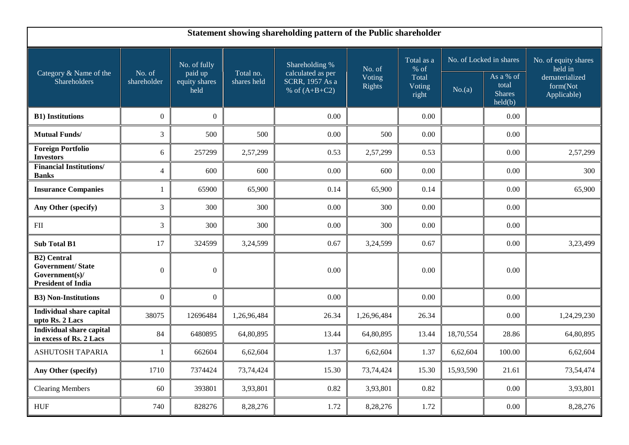| Statement showing shareholding pattern of the Public shareholder                             |                       |                                  |                          |                                                         |                                   |                                                  |                         |                                                |                                           |  |
|----------------------------------------------------------------------------------------------|-----------------------|----------------------------------|--------------------------|---------------------------------------------------------|-----------------------------------|--------------------------------------------------|-------------------------|------------------------------------------------|-------------------------------------------|--|
|                                                                                              |                       | No. of fully                     |                          | Shareholding %                                          | No. of<br>Voting<br><b>Rights</b> | Total as a<br>$%$ of<br>Total<br>Voting<br>right | No. of Locked in shares |                                                | No. of equity shares<br>held in           |  |
| Category & Name of the<br>Shareholders                                                       | No. of<br>shareholder | paid up<br>equity shares<br>held | Total no.<br>shares held | calculated as per<br>SCRR, 1957 As a<br>% of $(A+B+C2)$ |                                   |                                                  | No.(a)                  | As a % of<br>total<br><b>Shares</b><br>held(b) | dematerialized<br>form(Not<br>Applicable) |  |
| <b>B1)</b> Institutions                                                                      | $\boldsymbol{0}$      | $\overline{0}$                   |                          | 0.00                                                    |                                   | 0.00                                             |                         | 0.00                                           |                                           |  |
| <b>Mutual Funds/</b>                                                                         | 3                     | 500                              | 500                      | 0.00                                                    | 500                               | 0.00                                             |                         | 0.00                                           |                                           |  |
| <b>Foreign Portfolio</b><br><b>Investors</b>                                                 | 6                     | 257299                           | 2,57,299                 | 0.53                                                    | 2,57,299                          | 0.53                                             |                         | 0.00                                           | 2,57,299                                  |  |
| <b>Financial Institutions/</b><br><b>Banks</b>                                               | $\overline{4}$        | 600                              | 600                      | 0.00                                                    | 600                               | 0.00                                             |                         | 0.00                                           | 300                                       |  |
| <b>Insurance Companies</b>                                                                   |                       | 65900                            | 65,900                   | 0.14                                                    | 65,900                            | 0.14                                             |                         | 0.00                                           | 65,900                                    |  |
| Any Other (specify)                                                                          | 3                     | 300                              | 300                      | 0.00                                                    | 300                               | 0.00                                             |                         | 0.00                                           |                                           |  |
| FII                                                                                          | 3                     | 300                              | 300                      | 0.00                                                    | 300                               | 0.00                                             |                         | 0.00                                           |                                           |  |
| <b>Sub Total B1</b>                                                                          | 17                    | 324599                           | 3,24,599                 | 0.67                                                    | 3,24,599                          | 0.67                                             |                         | 0.00                                           | 3,23,499                                  |  |
| <b>B2)</b> Central<br><b>Government/State</b><br>Government(s)/<br><b>President of India</b> | $\theta$              | $\boldsymbol{0}$                 |                          | 0.00                                                    |                                   | 0.00                                             |                         | 0.00                                           |                                           |  |
| <b>B3)</b> Non-Institutions                                                                  | $\overline{0}$        | $\boldsymbol{0}$                 |                          | 0.00                                                    |                                   | 0.00                                             |                         | 0.00                                           |                                           |  |
| <b>Individual share capital</b><br>upto Rs. 2 Lacs                                           | 38075                 | 12696484                         | 1,26,96,484              | 26.34                                                   | 1,26,96,484                       | 26.34                                            |                         | 0.00                                           | 1,24,29,230                               |  |
| <b>Individual share capital</b><br>in excess of Rs. 2 Lacs                                   | 84                    | 6480895                          | 64,80,895                | 13.44                                                   | 64,80,895                         | 13.44                                            | 18,70,554               | 28.86                                          | 64,80,895                                 |  |
| ASHUTOSH TAPARIA                                                                             |                       | 662604                           | 6,62,604                 | 1.37                                                    | 6,62,604                          | 1.37                                             | 6,62,604                | 100.00                                         | 6,62,604                                  |  |
| Any Other (specify)                                                                          | 1710                  | 7374424                          | 73,74,424                | 15.30                                                   | 73,74,424                         | 15.30                                            | 15,93,590               | 21.61                                          | 73,54,474                                 |  |
| <b>Clearing Members</b>                                                                      | 60                    | 393801                           | 3,93,801                 | 0.82                                                    | 3,93,801                          | 0.82                                             |                         | 0.00                                           | 3,93,801                                  |  |
| <b>HUF</b>                                                                                   | 740                   | 828276                           | 8,28,276                 | 1.72                                                    | 8,28,276                          | 1.72                                             |                         | $0.00\,$                                       | 8,28,276                                  |  |